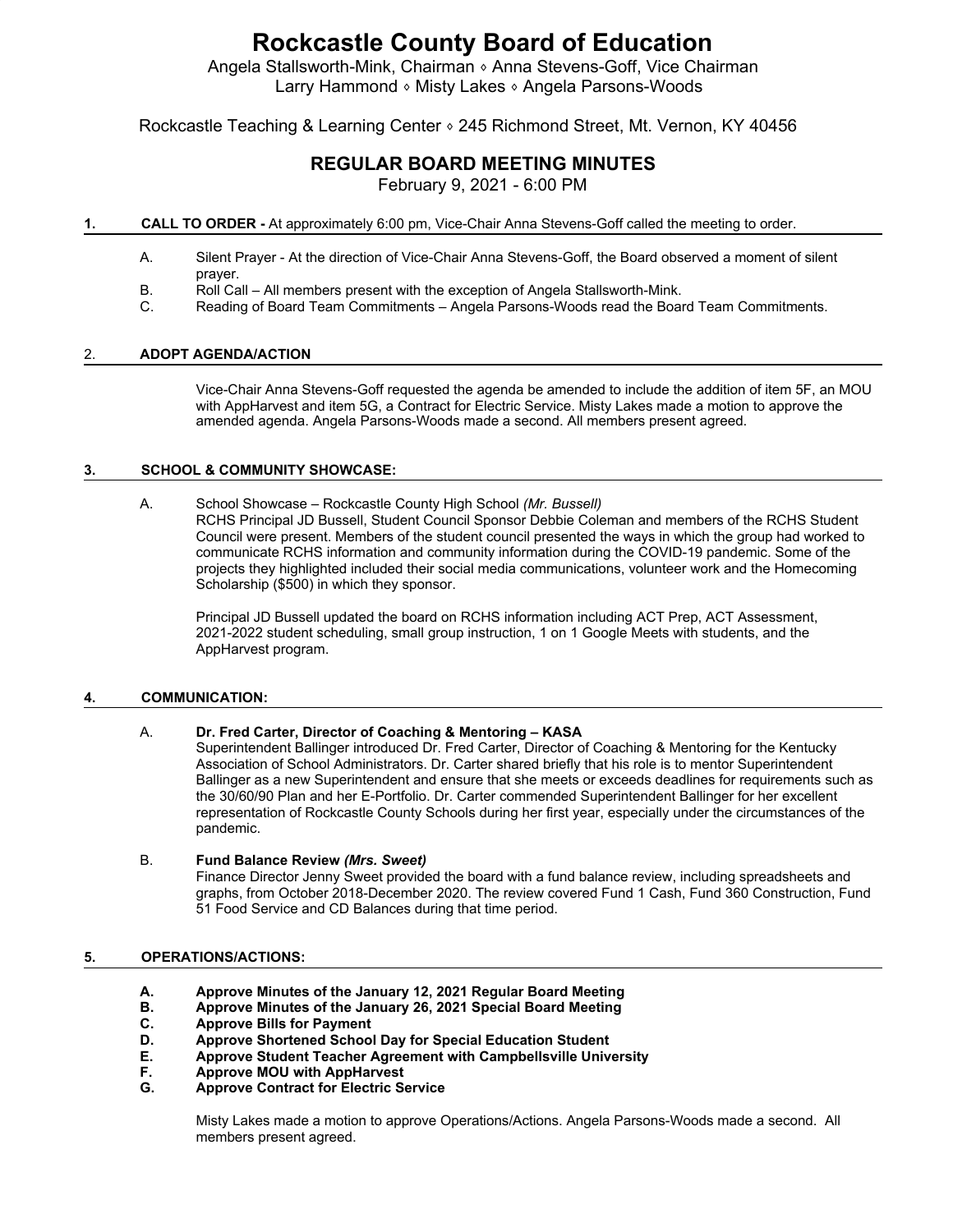Angela Stallsworth-Mink, Chairman ⬧ Anna Stevens-Goff, Vice Chairman Larry Hammond • Misty Lakes • Angela Parsons-Woods

Rockcastle Teaching & Learning Center • 245 Richmond Street, Mt. Vernon, KY 40456

# **REGULAR BOARD MEETING MINUTES**

February 9, 2021 - 6:00 PM

## **1. CALL TO ORDER -** At approximately 6:00 pm, Vice-Chair Anna Stevens-Goff called the meeting to order.

- A. Silent Prayer At the direction of Vice-Chair Anna Stevens-Goff, the Board observed a moment of silent prayer.
- B. Roll Call All members present with the exception of Angela Stallsworth-Mink.
- C. Reading of Board Team Commitments Angela Parsons-Woods read the Board Team Commitments.

# 2. **ADOPT AGENDA/ACTION**

Vice-Chair Anna Stevens-Goff requested the agenda be amended to include the addition of item 5F, an MOU with AppHarvest and item 5G, a Contract for Electric Service. Misty Lakes made a motion to approve the amended agenda. Angela Parsons-Woods made a second. All members present agreed.

## **3. SCHOOL & COMMUNITY SHOWCASE:**

A. School Showcase – Rockcastle County High School *(Mr. Bussell)* RCHS Principal JD Bussell, Student Council Sponsor Debbie Coleman and members of the RCHS Student

Council were present. Members of the student council presented the ways in which the group had worked to communicate RCHS information and community information during the COVID-19 pandemic. Some of the projects they highlighted included their social media communications, volunteer work and the Homecoming Scholarship (\$500) in which they sponsor.

Principal JD Bussell updated the board on RCHS information including ACT Prep, ACT Assessment, 2021-2022 student scheduling, small group instruction, 1 on 1 Google Meets with students, and the AppHarvest program.

# **4. COMMUNICATION:**

# A. **Dr. Fred Carter, Director of Coaching & Mentoring – KASA**

Superintendent Ballinger introduced Dr. Fred Carter, Director of Coaching & Mentoring for the Kentucky Association of School Administrators. Dr. Carter shared briefly that his role is to mentor Superintendent Ballinger as a new Superintendent and ensure that she meets or exceeds deadlines for requirements such as the 30/60/90 Plan and her E-Portfolio. Dr. Carter commended Superintendent Ballinger for her excellent representation of Rockcastle County Schools during her first year, especially under the circumstances of the pandemic.

# B. **Fund Balance Review** *(Mrs. Sweet)*

Finance Director Jenny Sweet provided the board with a fund balance review, including spreadsheets and graphs, from October 2018-December 2020. The review covered Fund 1 Cash, Fund 360 Construction, Fund 51 Food Service and CD Balances during that time period.

# **5. OPERATIONS/ACTIONS:**

- **A. Approve Minutes of the January 12, 2021 Regular Board Meeting**
- **B. Approve Minutes of the January 26, 2021 Special Board Meeting**
- **C. Approve Bills for Payment**
- **D. Approve Shortened School Day for Special Education Student**
- **E. Approve Student Teacher Agreement with Campbellsville University**
- **F. Approve MOU with AppHarvest**
- **G. Approve Contract for Electric Service**

Misty Lakes made a motion to approve Operations/Actions. Angela Parsons-Woods made a second. All members present agreed.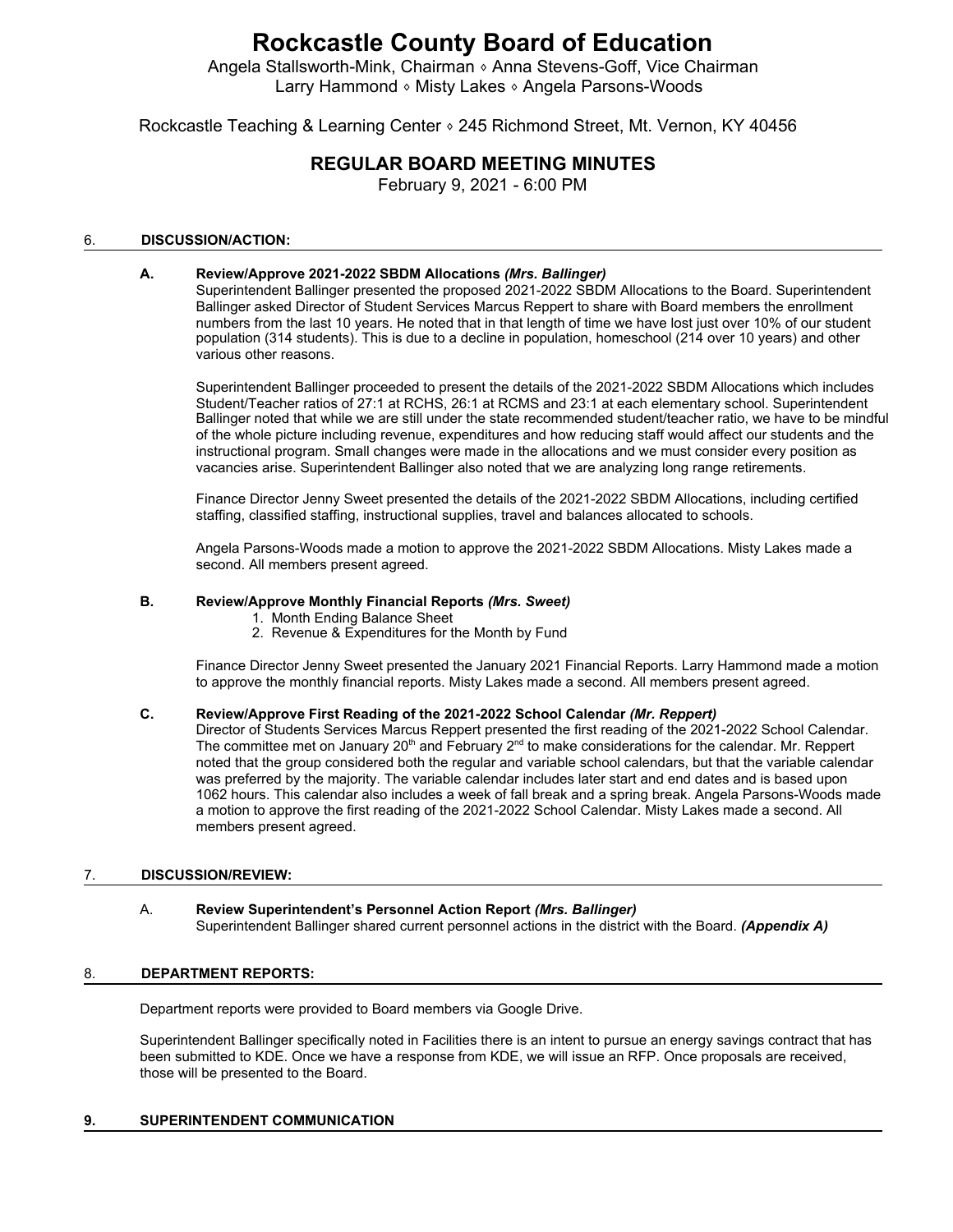Angela Stallsworth-Mink, Chairman ⬧ Anna Stevens-Goff, Vice Chairman Larry Hammond ⬧ Misty Lakes ⬧ Angela Parsons-Woods

Rockcastle Teaching & Learning Center • 245 Richmond Street, Mt. Vernon, KY 40456

# **REGULAR BOARD MEETING MINUTES**

February 9, 2021 - 6:00 PM

# 6. **DISCUSSION/ACTION:**

## **A. Review/Approve 2021-2022 SBDM Allocations** *(Mrs. Ballinger)*

Superintendent Ballinger presented the proposed 2021-2022 SBDM Allocations to the Board. Superintendent Ballinger asked Director of Student Services Marcus Reppert to share with Board members the enrollment numbers from the last 10 years. He noted that in that length of time we have lost just over 10% of our student population (314 students). This is due to a decline in population, homeschool (214 over 10 years) and other various other reasons.

Superintendent Ballinger proceeded to present the details of the 2021-2022 SBDM Allocations which includes Student/Teacher ratios of 27:1 at RCHS, 26:1 at RCMS and 23:1 at each elementary school. Superintendent Ballinger noted that while we are still under the state recommended student/teacher ratio, we have to be mindful of the whole picture including revenue, expenditures and how reducing staff would affect our students and the instructional program. Small changes were made in the allocations and we must consider every position as vacancies arise. Superintendent Ballinger also noted that we are analyzing long range retirements.

Finance Director Jenny Sweet presented the details of the 2021-2022 SBDM Allocations, including certified staffing, classified staffing, instructional supplies, travel and balances allocated to schools.

Angela Parsons-Woods made a motion to approve the 2021-2022 SBDM Allocations. Misty Lakes made a second. All members present agreed.

#### **B***.* **Review/Approve Monthly Financial Reports** *(Mrs. Sweet)*

- 1. Month Ending Balance Sheet
- 2. Revenue & Expenditures for the Month by Fund

Finance Director Jenny Sweet presented the January 2021 Financial Reports. Larry Hammond made a motion to approve the monthly financial reports. Misty Lakes made a second. All members present agreed.

## **C. Review/Approve First Reading of the 2021-2022 School Calendar** *(Mr. Reppert)*

Director of Students Services Marcus Reppert presented the first reading of the 2021-2022 School Calendar. The committee met on January 20<sup>th</sup> and February 2<sup>nd</sup> to make considerations for the calendar. Mr. Reppert noted that the group considered both the regular and variable school calendars, but that the variable calendar was preferred by the majority. The variable calendar includes later start and end dates and is based upon 1062 hours. This calendar also includes a week of fall break and a spring break. Angela Parsons-Woods made a motion to approve the first reading of the 2021-2022 School Calendar. Misty Lakes made a second. All members present agreed.

#### 7. **DISCUSSION/REVIEW:**

#### A. **Review Superintendent's Personnel Action Report** *(Mrs. Ballinger)* Superintendent Ballinger shared current personnel actions in the district with the Board. *(Appendix A)*

## 8. **DEPARTMENT REPORTS:**

Department reports were provided to Board members via Google Drive.

Superintendent Ballinger specifically noted in Facilities there is an intent to pursue an energy savings contract that has been submitted to KDE. Once we have a response from KDE, we will issue an RFP. Once proposals are received, those will be presented to the Board.

#### **9. SUPERINTENDENT COMMUNICATION**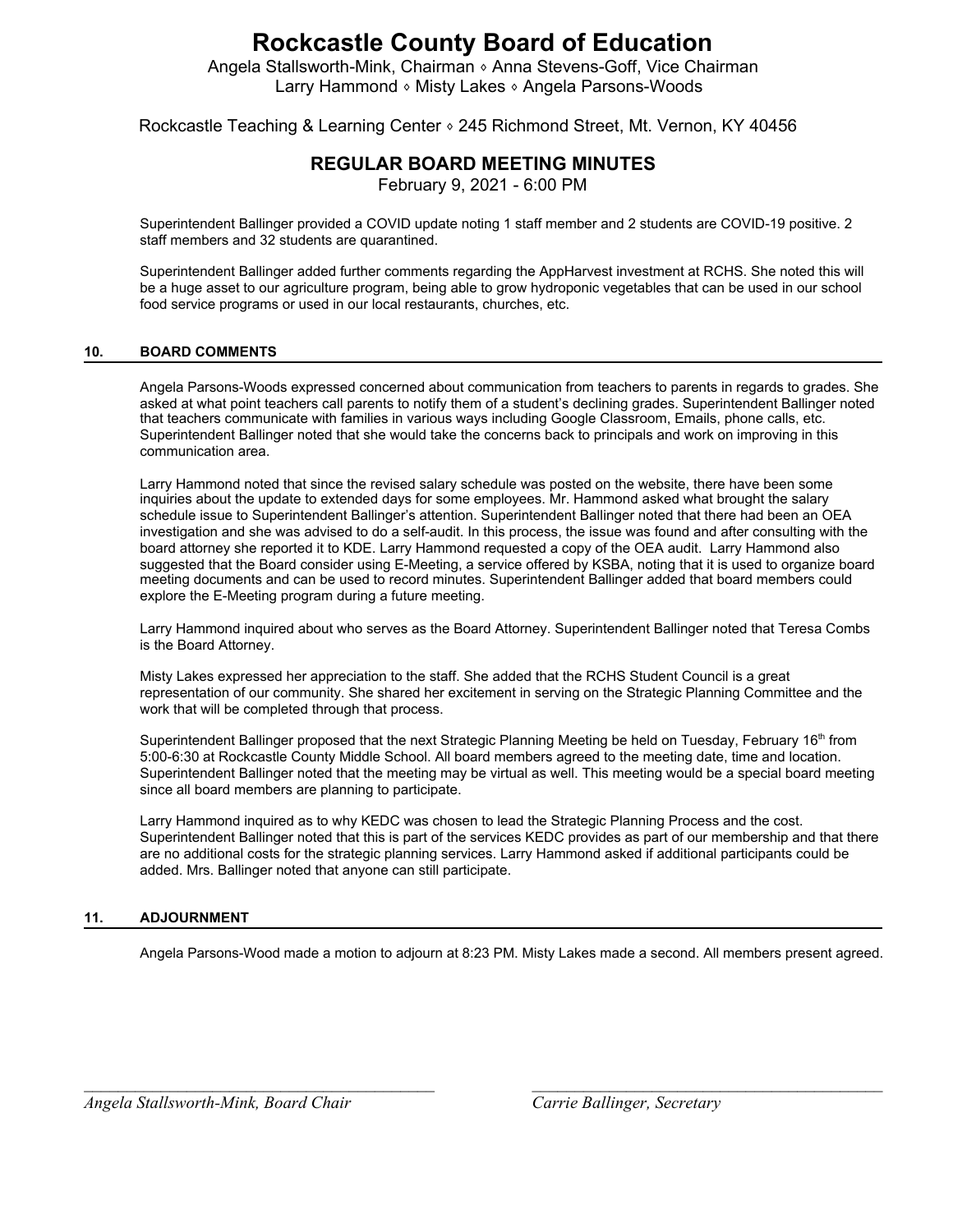Angela Stallsworth-Mink, Chairman ⬧ Anna Stevens-Goff, Vice Chairman Larry Hammond ⬧ Misty Lakes ⬧ Angela Parsons-Woods

Rockcastle Teaching & Learning Center  $\circ$  245 Richmond Street, Mt. Vernon, KY 40456

# **REGULAR BOARD MEETING MINUTES**

February 9, 2021 - 6:00 PM

Superintendent Ballinger provided a COVID update noting 1 staff member and 2 students are COVID-19 positive. 2 staff members and 32 students are quarantined.

Superintendent Ballinger added further comments regarding the AppHarvest investment at RCHS. She noted this will be a huge asset to our agriculture program, being able to grow hydroponic vegetables that can be used in our school food service programs or used in our local restaurants, churches, etc.

# **10. BOARD COMMENTS**

Angela Parsons-Woods expressed concerned about communication from teachers to parents in regards to grades. She asked at what point teachers call parents to notify them of a student's declining grades. Superintendent Ballinger noted that teachers communicate with families in various ways including Google Classroom, Emails, phone calls, etc. Superintendent Ballinger noted that she would take the concerns back to principals and work on improving in this communication area.

Larry Hammond noted that since the revised salary schedule was posted on the website, there have been some inquiries about the update to extended days for some employees. Mr. Hammond asked what brought the salary schedule issue to Superintendent Ballinger's attention. Superintendent Ballinger noted that there had been an OEA investigation and she was advised to do a self-audit. In this process, the issue was found and after consulting with the board attorney she reported it to KDE. Larry Hammond requested a copy of the OEA audit. Larry Hammond also suggested that the Board consider using E-Meeting, a service offered by KSBA, noting that it is used to organize board meeting documents and can be used to record minutes. Superintendent Ballinger added that board members could explore the E-Meeting program during a future meeting.

Larry Hammond inquired about who serves as the Board Attorney. Superintendent Ballinger noted that Teresa Combs is the Board Attorney.

Misty Lakes expressed her appreciation to the staff. She added that the RCHS Student Council is a great representation of our community. She shared her excitement in serving on the Strategic Planning Committee and the work that will be completed through that process.

Superintendent Ballinger proposed that the next Strategic Planning Meeting be held on Tuesday, February 16<sup>th</sup> from 5:00-6:30 at Rockcastle County Middle School. All board members agreed to the meeting date, time and location. Superintendent Ballinger noted that the meeting may be virtual as well. This meeting would be a special board meeting since all board members are planning to participate.

Larry Hammond inquired as to why KEDC was chosen to lead the Strategic Planning Process and the cost. Superintendent Ballinger noted that this is part of the services KEDC provides as part of our membership and that there are no additional costs for the strategic planning services. Larry Hammond asked if additional participants could be added. Mrs. Ballinger noted that anyone can still participate.

# **11. ADJOURNMENT**

Angela Parsons-Wood made a motion to adjourn at 8:23 PM. Misty Lakes made a second. All members present agreed.

*\_\_\_\_\_\_\_\_\_\_\_\_\_\_\_\_\_\_\_\_\_\_\_\_\_\_\_\_\_\_\_\_\_\_\_\_\_\_\_\_\_ \_\_\_\_\_\_\_\_\_\_\_\_\_\_\_\_\_\_\_\_\_\_\_\_\_\_\_\_\_\_\_\_\_\_\_\_\_\_\_\_\_*

*Angela Stallsworth-Mink, Board Chair Carrie Ballinger, Secretary*